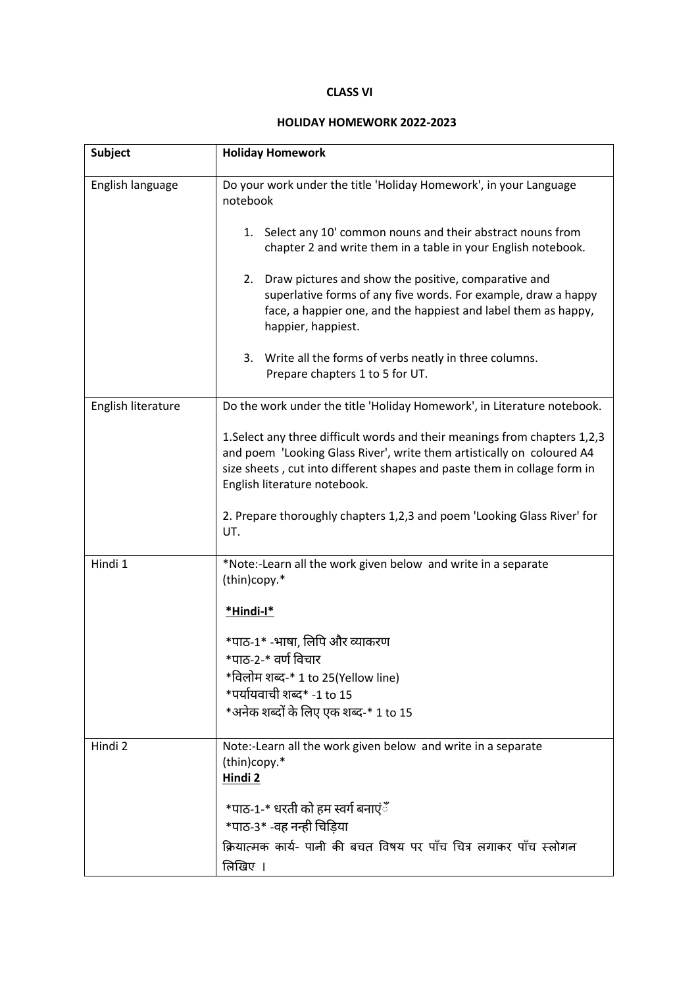## **CLASS VI**

## **HOLIDAY HOMEWORK 2022-2023**

| <b>Subject</b>     | <b>Holiday Homework</b>                                                                                                                                                                                                                                          |
|--------------------|------------------------------------------------------------------------------------------------------------------------------------------------------------------------------------------------------------------------------------------------------------------|
| English language   | Do your work under the title 'Holiday Homework', in your Language<br>notebook                                                                                                                                                                                    |
|                    | 1. Select any 10' common nouns and their abstract nouns from<br>chapter 2 and write them in a table in your English notebook.                                                                                                                                    |
|                    | Draw pictures and show the positive, comparative and<br>2.<br>superlative forms of any five words. For example, draw a happy<br>face, a happier one, and the happiest and label them as happy,<br>happier, happiest.                                             |
|                    | 3. Write all the forms of verbs neatly in three columns.<br>Prepare chapters 1 to 5 for UT.                                                                                                                                                                      |
| English literature | Do the work under the title 'Holiday Homework', in Literature notebook.                                                                                                                                                                                          |
|                    | 1. Select any three difficult words and their meanings from chapters 1,2,3<br>and poem 'Looking Glass River', write them artistically on coloured A4<br>size sheets, cut into different shapes and paste them in collage form in<br>English literature notebook. |
|                    | 2. Prepare thoroughly chapters 1,2,3 and poem 'Looking Glass River' for<br>UT.                                                                                                                                                                                   |
| Hindi 1            | *Note:-Learn all the work given below and write in a separate<br>(thin)copy.*                                                                                                                                                                                    |
|                    | *Hindi-l*                                                                                                                                                                                                                                                        |
|                    | *पाठ-1* -भाषा, लिपि और व्याकरण                                                                                                                                                                                                                                   |
|                    | *पाठ-2-* वर्ण विचार<br>*विलोम शब्द-* 1 to 25(Yellow line)                                                                                                                                                                                                        |
|                    | *पर्यायवाची शब्द* -1 to 15                                                                                                                                                                                                                                       |
|                    | *अनेक शब्दों के लिए एक शब्द-* 1 to 15                                                                                                                                                                                                                            |
| Hindi 2            | Note:-Learn all the work given below and write in a separate<br>(thin)copy.*<br>Hindi <sub>2</sub>                                                                                                                                                               |
|                    | *पाठ-1-* धरती को हम स्वर्ग बनाएंँ<br>*पाठ-3* -वह नन्ही चिडिया                                                                                                                                                                                                    |
|                    | क्रियात्मक कार्य- पानी की बचत विषय पर पाँच चित्र लगाकर पाँच स्लोगन<br>तिखिए ।                                                                                                                                                                                    |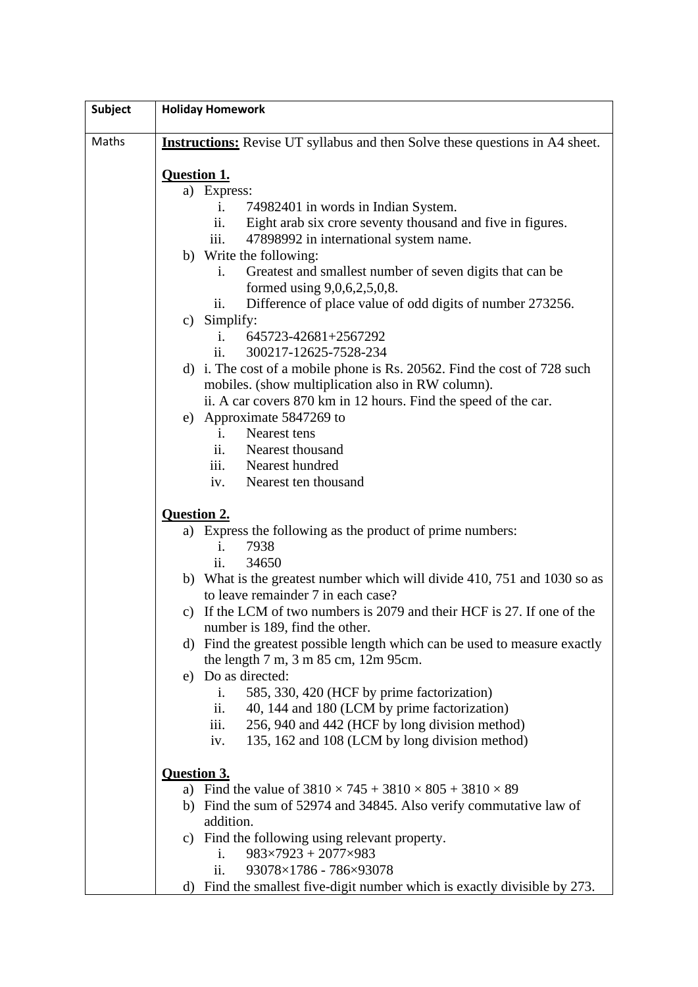| <b>Subject</b> | <b>Holiday Homework</b>                                                                                  |
|----------------|----------------------------------------------------------------------------------------------------------|
| Maths          | <b>Instructions:</b> Revise UT syllabus and then Solve these questions in A4 sheet.                      |
|                | <b>Question 1.</b>                                                                                       |
|                | a) Express:                                                                                              |
|                | $\mathbf{i}$ .<br>74982401 in words in Indian System.                                                    |
|                | ii.<br>Eight arab six crore seventy thousand and five in figures.                                        |
|                | iii.<br>47898992 in international system name.                                                           |
|                | b) Write the following:                                                                                  |
|                | Greatest and smallest number of seven digits that can be<br>$\mathbf{1}$ .                               |
|                | formed using $9,0,6,2,5,0,8$ .                                                                           |
|                | Difference of place value of odd digits of number 273256.<br>$\overline{\mathbf{11}}$ .                  |
|                | c) Simplify:                                                                                             |
|                | 645723-42681+2567292<br>i.                                                                               |
|                | 300217-12625-7528-234<br>11.                                                                             |
|                | d) i. The cost of a mobile phone is Rs. 20562. Find the cost of 728 such                                 |
|                | mobiles. (show multiplication also in RW column).                                                        |
|                | ii. A car covers 870 km in 12 hours. Find the speed of the car.                                          |
|                | e) Approximate 5847269 to                                                                                |
|                | Nearest tens<br>$\mathbf{i}$ .                                                                           |
|                | Nearest thousand<br>11.                                                                                  |
|                | iii. Nearest hundred                                                                                     |
|                | Nearest ten thousand<br>iv.                                                                              |
|                | <b>Question 2.</b>                                                                                       |
|                | a) Express the following as the product of prime numbers:                                                |
|                | 7938<br>i.                                                                                               |
|                | ii.<br>34650                                                                                             |
|                | b) What is the greatest number which will divide 410, 751 and 1030 so as                                 |
|                | to leave remainder 7 in each case?                                                                       |
|                | c) If the LCM of two numbers is 2079 and their HCF is 27. If one of the                                  |
|                | number is 189, find the other.                                                                           |
|                | d) Find the greatest possible length which can be used to measure exactly                                |
|                | the length $7 \text{ m}$ , $3 \text{ m}$ $85 \text{ cm}$ , $12 \text{ m}$ $95 \text{ cm}$ .              |
|                | e) Do as directed:                                                                                       |
|                | 585, 330, 420 (HCF by prime factorization)<br>i.                                                         |
|                | ii.<br>40, 144 and 180 (LCM by prime factorization)                                                      |
|                | iii.<br>256, 940 and 442 (HCF by long division method)<br>135, 162 and 108 (LCM by long division method) |
|                | iv.                                                                                                      |
|                | <b>Question 3.</b>                                                                                       |
|                | a) Find the value of $3810 \times 745 + 3810 \times 805 + 3810 \times 89$                                |
|                | b) Find the sum of 52974 and 34845. Also verify commutative law of                                       |
|                | addition.                                                                                                |
|                | c) Find the following using relevant property.                                                           |
|                | $983\times7923 + 2077\times983$<br>i.                                                                    |
|                | 93078×1786 - 786×93078<br>ii.                                                                            |
|                | Find the smallest five-digit number which is exactly divisible by 273.<br>d)                             |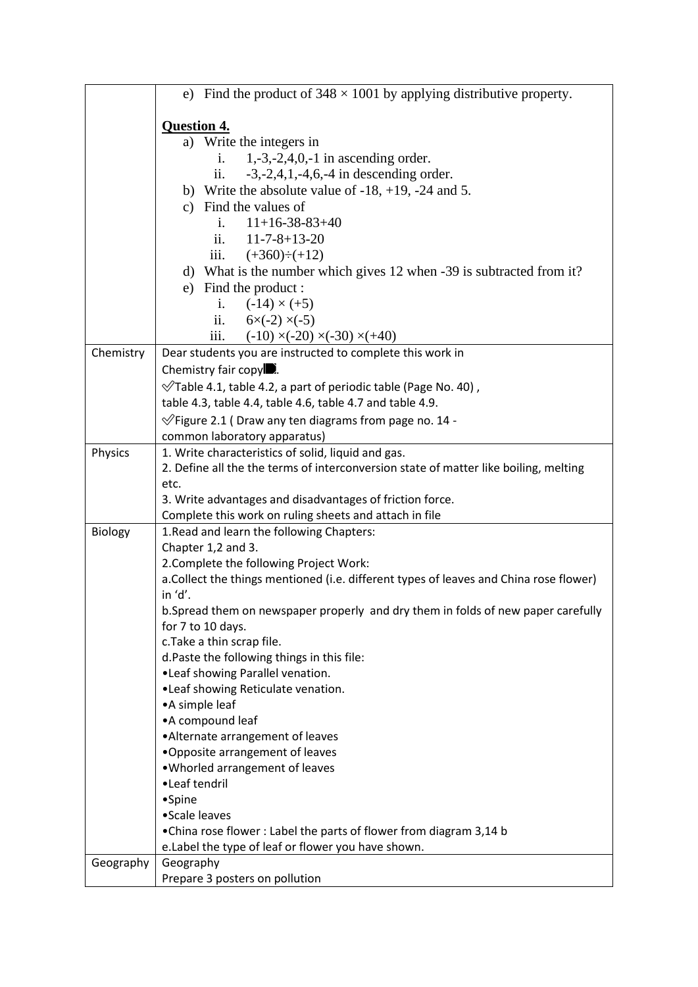|           | e) Find the product of $348 \times 1001$ by applying distributive property.            |  |
|-----------|----------------------------------------------------------------------------------------|--|
|           | <b>Question 4.</b>                                                                     |  |
|           | a) Write the integers in                                                               |  |
|           | $1, -3, -2, 4, 0, -1$ in ascending order.<br>$i$ .                                     |  |
|           | $-3, -2, 4, 1, -4, 6, -4$ in descending order.<br>ii.                                  |  |
|           | b) Write the absolute value of $-18$ , $+19$ , $-24$ and 5.                            |  |
|           | c) Find the values of                                                                  |  |
|           | $11+16-38-83+40$<br>i.                                                                 |  |
|           | ii. $11-7-8+13-20$                                                                     |  |
|           | iii. $(+360) \div (+12)$                                                               |  |
|           | d) What is the number which gives 12 when -39 is subtracted from it?                   |  |
|           |                                                                                        |  |
|           | e) Find the product :                                                                  |  |
|           | i. $(-14) \times (+5)$                                                                 |  |
|           | ii. $6 \times (-2) \times (-5)$                                                        |  |
|           | iii.<br>$(-10) \times (-20) \times (-30) \times (+40)$                                 |  |
| Chemistry | Dear students you are instructed to complete this work in                              |  |
|           | Chemistry fair copy $\blacksquare$ .                                                   |  |
|           | $\sqrt{ }$ Table 4.1, table 4.2, a part of periodic table (Page No. 40),               |  |
|           | table 4.3, table 4.4, table 4.6, table 4.7 and table 4.9.                              |  |
|           | $\sqrt{2}$ Figure 2.1 (Draw any ten diagrams from page no. 14 -                        |  |
|           | common laboratory apparatus)                                                           |  |
| Physics   | 1. Write characteristics of solid, liquid and gas.                                     |  |
|           | 2. Define all the the terms of interconversion state of matter like boiling, melting   |  |
|           | etc.                                                                                   |  |
|           | 3. Write advantages and disadvantages of friction force.                               |  |
|           | Complete this work on ruling sheets and attach in file                                 |  |
| Biology   | 1. Read and learn the following Chapters:                                              |  |
|           | Chapter 1,2 and 3.                                                                     |  |
|           | 2. Complete the following Project Work:                                                |  |
|           | a. Collect the things mentioned (i.e. different types of leaves and China rose flower) |  |
|           | in 'd'.                                                                                |  |
|           | b. Spread them on newspaper properly and dry them in folds of new paper carefully      |  |
|           | for 7 to 10 days.                                                                      |  |
|           | c. Take a thin scrap file.                                                             |  |
|           | d. Paste the following things in this file:                                            |  |
|           | •Leaf showing Parallel venation.                                                       |  |
|           | •Leaf showing Reticulate venation.                                                     |  |
|           | • A simple leaf                                                                        |  |
|           | • A compound leaf                                                                      |  |
|           | • Alternate arrangement of leaves                                                      |  |
|           | . Opposite arrangement of leaves                                                       |  |
|           | . Whorled arrangement of leaves                                                        |  |
|           | •Leaf tendril                                                                          |  |
|           | •Spine                                                                                 |  |
|           | • Scale leaves                                                                         |  |
|           | • China rose flower : Label the parts of flower from diagram 3,14 b                    |  |
|           | e.Label the type of leaf or flower you have shown.                                     |  |
| Geography | Geography                                                                              |  |
|           | Prepare 3 posters on pollution                                                         |  |